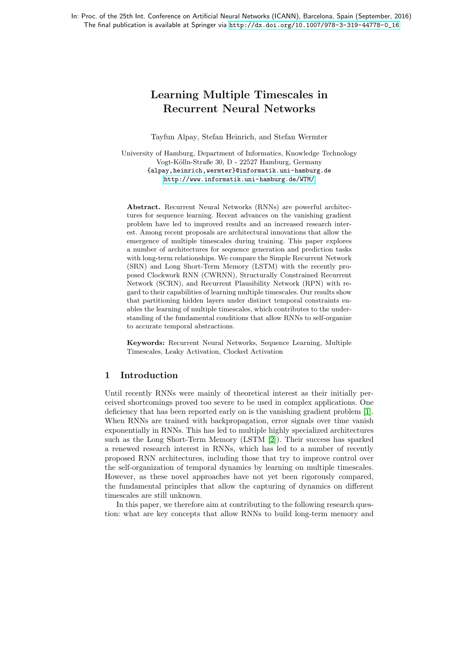# Learning Multiple Timescales in Recurrent Neural Networks

Tayfun Alpay, Stefan Heinrich, and Stefan Wermter

University of Hamburg, Department of Informatics, Knowledge Technology Vogt-Kölln-Straße 30, D - 22527 Hamburg, Germany {alpay,heinrich,wermter}@informatik.uni-hamburg.de <http://www.informatik.uni-hamburg.de/WTM/>

Abstract. Recurrent Neural Networks (RNNs) are powerful architectures for sequence learning. Recent advances on the vanishing gradient problem have led to improved results and an increased research interest. Among recent proposals are architectural innovations that allow the emergence of multiple timescales during training. This paper explores a number of architectures for sequence generation and prediction tasks with long-term relationships. We compare the Simple Recurrent Network (SRN) and Long Short-Term Memory (LSTM) with the recently proposed Clockwork RNN (CWRNN), Structurally Constrained Recurrent Network (SCRN), and Recurrent Plausibility Network (RPN) with regard to their capabilities of learning multiple timescales. Our results show that partitioning hidden layers under distinct temporal constraints enables the learning of multiple timescales, which contributes to the understanding of the fundamental conditions that allow RNNs to self-organize to accurate temporal abstractions.

Keywords: Recurrent Neural Networks, Sequence Learning, Multiple Timescales, Leaky Activation, Clocked Activation

# 1 Introduction

Until recently RNNs were mainly of theoretical interest as their initially perceived shortcomings proved too severe to be used in complex applications. One deficiency that has been reported early on is the vanishing gradient problem [\[1\]](#page-7-0). When RNNs are trained with backpropagation, error signals over time vanish exponentially in RNNs. This has led to multiple highly specialized architectures such as the Long Short-Term Memory (LSTM [\[2\]](#page-7-1)). Their success has sparked a renewed research interest in RNNs, which has led to a number of recently proposed RNN architectures, including those that try to improve control over the self-organization of temporal dynamics by learning on multiple timescales. However, as these novel approaches have not yet been rigorously compared, the fundamental principles that allow the capturing of dynamics on different timescales are still unknown.

In this paper, we therefore aim at contributing to the following research question: what are key concepts that allow RNNs to build long-term memory and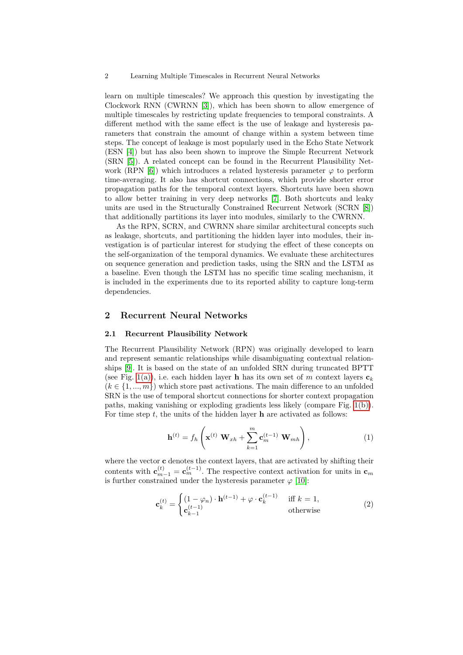2 Learning Multiple Timescales in Recurrent Neural Networks

learn on multiple timescales? We approach this question by investigating the Clockwork RNN (CWRNN [\[3\]](#page-7-2)), which has been shown to allow emergence of multiple timescales by restricting update frequencies to temporal constraints. A different method with the same effect is the use of leakage and hysteresis parameters that constrain the amount of change within a system between time steps. The concept of leakage is most popularly used in the Echo State Network (ESN [\[4\]](#page-7-3)) but has also been shown to improve the Simple Recurrent Network (SRN [\[5\]](#page-7-4)). A related concept can be found in the Recurrent Plausibility Net-work (RPN [\[6\]](#page-7-5)) which introduces a related hysteresis parameter  $\varphi$  to perform time-averaging. It also has shortcut connections, which provide shorter error propagation paths for the temporal context layers. Shortcuts have been shown to allow better training in very deep networks [\[7\]](#page-7-6). Both shortcuts and leaky units are used in the Structurally Constrained Recurrent Network (SCRN [\[8\]](#page-7-7)) that additionally partitions its layer into modules, similarly to the CWRNN.

As the RPN, SCRN, and CWRNN share similar architectural concepts such as leakage, shortcuts, and partitioning the hidden layer into modules, their investigation is of particular interest for studying the effect of these concepts on the self-organization of the temporal dynamics. We evaluate these architectures on sequence generation and prediction tasks, using the SRN and the LSTM as a baseline. Even though the LSTM has no specific time scaling mechanism, it is included in the experiments due to its reported ability to capture long-term dependencies.

## 2 Recurrent Neural Networks

#### 2.1 Recurrent Plausibility Network

The Recurrent Plausibility Network (RPN) was originally developed to learn and represent semantic relationships while disambiguating contextual relationships [\[9\]](#page-7-8). It is based on the state of an unfolded SRN during truncated BPTT (see Fig. [1\(a\)\)](#page-2-0), i.e. each hidden layer **h** has its own set of m context layers  $c_k$  $(k \in \{1, ..., m\})$  which store past activations. The main difference to an unfolded SRN is the use of temporal shortcut connections for shorter context propagation paths, making vanishing or exploding gradients less likely (compare Fig. [1\(b\)\)](#page-2-1). For time step  $t$ , the units of the hidden layer **h** are activated as follows:

$$
\mathbf{h}^{(t)} = f_h\left(\mathbf{x}^{(t)} \ \mathbf{W}_{xh} + \sum_{k=1}^m \mathbf{c}_m^{(t-1)} \ \mathbf{W}_{mh}\right),\tag{1}
$$

where the vector **c** denotes the context layers, that are activated by shifting their contents with  $\mathbf{c}_{m-1}^{(t)} = \mathbf{c}_{m}^{(t-1)}$ . The respective context activation for units in  $\mathbf{c}_{m}$ is further constrained under the hysteresis parameter  $\varphi$  [\[10\]](#page-7-9):

$$
\mathbf{c}_{k}^{(t)} = \begin{cases} (1 - \varphi_n) \cdot \mathbf{h}^{(t-1)} + \varphi \cdot \mathbf{c}_{k}^{(t-1)} & \text{iff } k = 1, \\ \mathbf{c}_{k-1}^{(t-1)} & \text{otherwise} \end{cases}
$$
(2)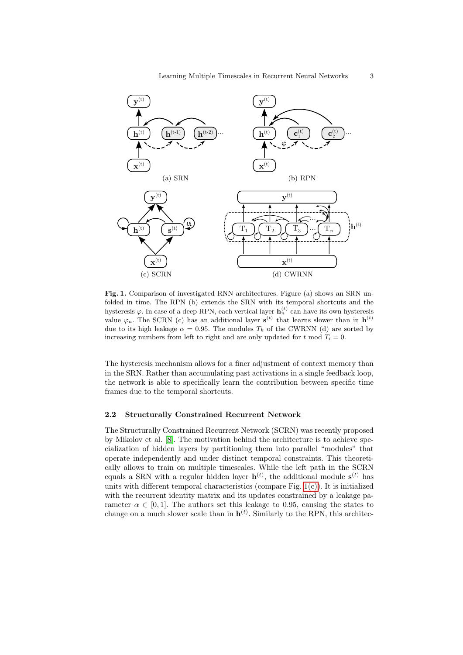<span id="page-2-2"></span><span id="page-2-1"></span><span id="page-2-0"></span>

<span id="page-2-3"></span>Fig. 1. Comparison of investigated RNN architectures. Figure (a) shows an SRN unfolded in time. The RPN (b) extends the SRN with its temporal shortcuts and the hysteresis  $\varphi$ . In case of a deep RPN, each vertical layer  $\mathbf{h}_n^{(t)}$  can have its own hysteresis value  $\varphi_n$ . The SCRN (c) has an additional layer  $s^{(t)}$  that learns slower than in  $h^{(t)}$ due to its high leakage  $\alpha = 0.95$ . The modules  $T_k$  of the CWRNN (d) are sorted by increasing numbers from left to right and are only updated for t mod  $T_i = 0$ .

The hysteresis mechanism allows for a finer adjustment of context memory than in the SRN. Rather than accumulating past activations in a single feedback loop, the network is able to specifically learn the contribution between specific time frames due to the temporal shortcuts.

#### 2.2 Structurally Constrained Recurrent Network

The Structurally Constrained Recurrent Network (SCRN) was recently proposed by Mikolov et al. [\[8\]](#page-7-7). The motivation behind the architecture is to achieve specialization of hidden layers by partitioning them into parallel "modules" that operate independently and under distinct temporal constraints. This theoretically allows to train on multiple timescales. While the left path in the SCRN equals a SRN with a regular hidden layer  $\mathbf{h}^{(t)}$ , the additional module  $\mathbf{s}^{(t)}$  has units with different temporal characteristics (compare Fig. [1\(c\)\)](#page-2-2). It is initialized with the recurrent identity matrix and its updates constrained by a leakage parameter  $\alpha \in [0, 1]$ . The authors set this leakage to 0.95, causing the states to change on a much slower scale than in  $\mathbf{h}^{(t)}$ . Similarly to the RPN, this architec-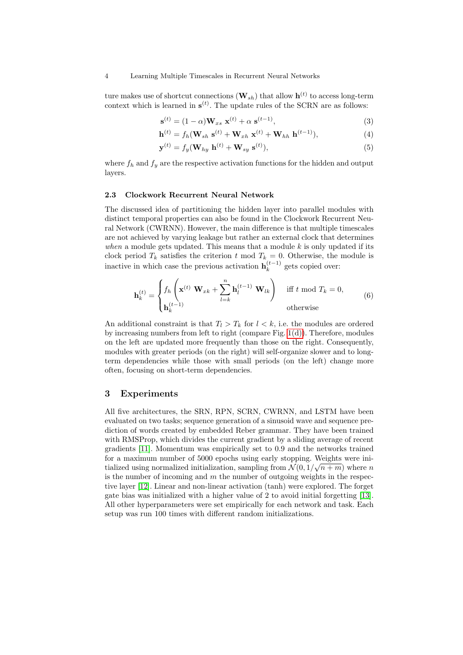#### 4 Learning Multiple Timescales in Recurrent Neural Networks

ture makes use of shortcut connections  $(\mathbf{W}_{sh})$  that allow  $\mathbf{h}^{(t)}$  to access long-term context which is learned in  $\mathbf{s}^{(t)}$ . The update rules of the SCRN are as follows:

$$
\mathbf{s}^{(t)} = (1 - \alpha)\mathbf{W}_{xs} \ \mathbf{x}^{(t)} + \alpha \ \mathbf{s}^{(t-1)},\tag{3}
$$

$$
\mathbf{h}^{(t)} = f_h(\mathbf{W}_{sh} \ \mathbf{s}^{(t)} + \mathbf{W}_{xh} \ \mathbf{x}^{(t)} + \mathbf{W}_{hh} \ \mathbf{h}^{(t-1)}), \tag{4}
$$

$$
\mathbf{y}^{(t)} = f_y(\mathbf{W}_{hy} \; \mathbf{h}^{(t)} + \mathbf{W}_{sy} \; \mathbf{s}^{(t)}), \tag{5}
$$

where  $f_h$  and  $f_g$  are the respective activation functions for the hidden and output layers.

#### 2.3 Clockwork Recurrent Neural Network

The discussed idea of partitioning the hidden layer into parallel modules with distinct temporal properties can also be found in the Clockwork Recurrent Neural Network (CWRNN). However, the main difference is that multiple timescales are not achieved by varying leakage but rather an external clock that determines when a module gets updated. This means that a module  $k$  is only updated if its clock period  $T_k$  satisfies the criterion t mod  $T_k = 0$ . Otherwise, the module is inactive in which case the previous activation  $\mathbf{h}_k^{(t-1)}$  $k^{(l-1)}$  gets copied over:

$$
\mathbf{h}_{k}^{(t)} = \begin{cases} f_{h} \left( \mathbf{x}^{(t)} \ \mathbf{W}_{xk} + \sum_{l=k}^{n} \mathbf{h}_{l}^{(t-1)} \ \mathbf{W}_{lk} \right) & \text{iff } t \text{ mod } T_{k} = 0, \\ \mathbf{h}_{k}^{(t-1)} & \text{otherwise} \end{cases}
$$
(6)

An additional constraint is that  $T_l > T_k$  for  $l < k$ , i.e. the modules are ordered by increasing numbers from left to right (compare Fig. [1\(d\)\)](#page-2-3). Therefore, modules on the left are updated more frequently than those on the right. Consequently, modules with greater periods (on the right) will self-organize slower and to longterm dependencies while those with small periods (on the left) change more often, focusing on short-term dependencies.

### 3 Experiments

All five architectures, the SRN, RPN, SCRN, CWRNN, and LSTM have been evaluated on two tasks; sequence generation of a sinusoid wave and sequence prediction of words created by embedded Reber grammar. They have been trained with RMSProp, which divides the current gradient by a sliding average of recent gradients [\[11\]](#page-7-10). Momentum was empirically set to 0.9 and the networks trained for a maximum number of 5000 epochs using early stopping. Weights were initialized using normalized initialization, sampling from  $\mathcal{N}(0, 1/\sqrt{n+m})$  where n is the number of incoming and  $m$  the number of outgoing weights in the respective layer [\[12\]](#page-7-11). Linear and non-linear activation (tanh) were explored. The forget gate bias was initialized with a higher value of 2 to avoid initial forgetting [\[13\]](#page-7-12). All other hyperparameters were set empirically for each network and task. Each setup was run 100 times with different random initializations.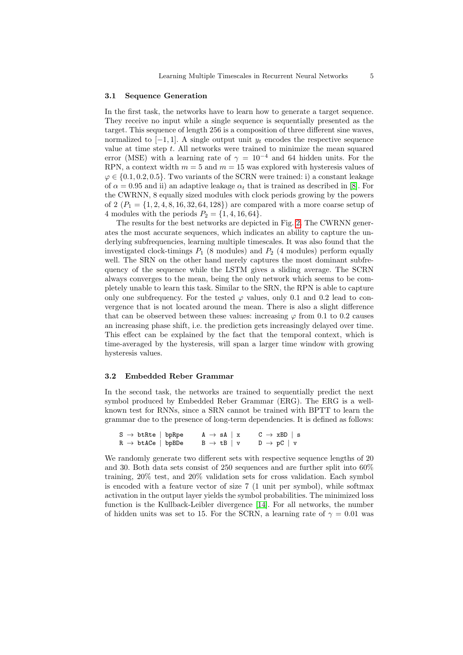## 3.1 Sequence Generation

In the first task, the networks have to learn how to generate a target sequence. They receive no input while a single sequence is sequentially presented as the target. This sequence of length 256 is a composition of three different sine waves, normalized to  $[-1, 1]$ . A single output unit  $y_t$  encodes the respective sequence value at time step  $t$ . All networks were trained to minimize the mean squared error (MSE) with a learning rate of  $\gamma = 10^{-4}$  and 64 hidden units. For the RPN, a context width  $m = 5$  and  $m = 15$  was explored with hysteresis values of  $\varphi \in \{0.1, 0.2, 0.5\}$ . Two variants of the SCRN were trained: i) a constant leakage of  $\alpha = 0.95$  and ii) an adaptive leakage  $\alpha_t$  that is trained as described in [\[8\]](#page-7-7). For the CWRNN, 8 equally sized modules with clock periods growing by the powers of 2  $(P_1 = \{1, 2, 4, 8, 16, 32, 64, 128\})$  are compared with a more coarse setup of 4 modules with the periods  $P_2 = \{1, 4, 16, 64\}.$ 

The results for the best networks are depicted in Fig. [2.](#page-5-0) The CWRNN generates the most accurate sequences, which indicates an ability to capture the underlying subfrequencies, learning multiple timescales. It was also found that the investigated clock-timings  $P_1$  (8 modules) and  $P_2$  (4 modules) perform equally well. The SRN on the other hand merely captures the most dominant subfrequency of the sequence while the LSTM gives a sliding average. The SCRN always converges to the mean, being the only network which seems to be completely unable to learn this task. Similar to the SRN, the RPN is able to capture only one subfrequency. For the tested  $\varphi$  values, only 0.1 and 0.2 lead to convergence that is not located around the mean. There is also a slight difference that can be observed between these values: increasing  $\varphi$  from 0.1 to 0.2 causes an increasing phase shift, i.e. the prediction gets increasingly delayed over time. This effect can be explained by the fact that the temporal context, which is time-averaged by the hysteresis, will span a larger time window with growing hysteresis values.

#### 3.2 Embedded Reber Grammar

In the second task, the networks are trained to sequentially predict the next symbol produced by Embedded Reber Grammar (ERG). The ERG is a wellknown test for RNNs, since a SRN cannot be trained with BPTT to learn the grammar due to the presence of long-term dependencies. It is defined as follows:

| $S \rightarrow b$ tRte   bpRpe | $A \rightarrow sA \mid x$ | $C \rightarrow xBD$   s   |
|--------------------------------|---------------------------|---------------------------|
| $R \rightarrow b$ tACe   bpBDe | $B \rightarrow tB$   v    | $D \rightarrow pC \mid v$ |

We randomly generate two different sets with respective sequence lengths of 20 and 30. Both data sets consist of 250 sequences and are further split into 60% training, 20% test, and 20% validation sets for cross validation. Each symbol is encoded with a feature vector of size 7 (1 unit per symbol), while softmax activation in the output layer yields the symbol probabilities. The minimized loss function is the Kullback-Leibler divergence [\[14\]](#page-7-13). For all networks, the number of hidden units was set to 15. For the SCRN, a learning rate of  $\gamma = 0.01$  was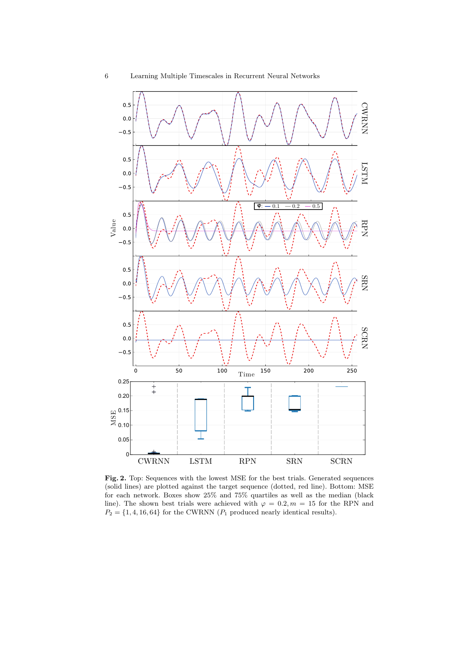

<span id="page-5-0"></span>Fig. 2. Top: Sequences with the lowest MSE for the best trials. Generated sequences (solid lines) are plotted against the target sequence (dotted, red line). Bottom: MSE for each network. Boxes show 25% and 75% quartiles as well as the median (black line). The shown best trials were achieved with  $\varphi = 0.2, m = 15$  for the RPN and  $P_2 = \{1, 4, 16, 64\}$  for the CWRNN  $(P_1 \text{ produced nearly identical results}).$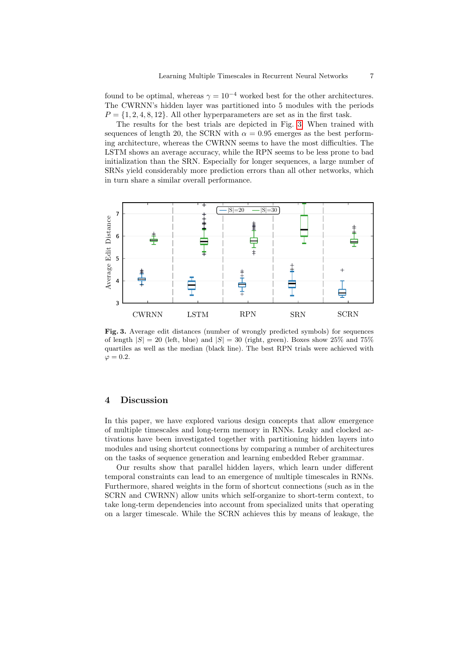found to be optimal, whereas  $\gamma = 10^{-4}$  worked best for the other architectures. The CWRNN's hidden layer was partitioned into 5 modules with the periods  $P = \{1, 2, 4, 8, 12\}$ . All other hyperparameters are set as in the first task.

The results for the best trials are depicted in Fig. [3.](#page-6-0) When trained with sequences of length 20, the SCRN with  $\alpha = 0.95$  emerges as the best performing architecture, whereas the CWRNN seems to have the most difficulties. The LSTM shows an average accuracy, while the RPN seems to be less prone to bad initialization than the SRN. Especially for longer sequences, a large number of SRNs yield considerably more prediction errors than all other networks, which in turn share a similar overall performance.



<span id="page-6-0"></span>Fig. 3. Average edit distances (number of wrongly predicted symbols) for sequences of length  $|S| = 20$  (left, blue) and  $|S| = 30$  (right, green). Boxes show 25% and 75% quartiles as well as the median (black line). The best RPN trials were achieved with  $\varphi = 0.2$ .

## 4 Discussion

In this paper, we have explored various design concepts that allow emergence of multiple timescales and long-term memory in RNNs. Leaky and clocked activations have been investigated together with partitioning hidden layers into modules and using shortcut connections by comparing a number of architectures on the tasks of sequence generation and learning embedded Reber grammar.

Our results show that parallel hidden layers, which learn under different temporal constraints can lead to an emergence of multiple timescales in RNNs. Furthermore, shared weights in the form of shortcut connections (such as in the SCRN and CWRNN) allow units which self-organize to short-term context, to take long-term dependencies into account from specialized units that operating on a larger timescale. While the SCRN achieves this by means of leakage, the